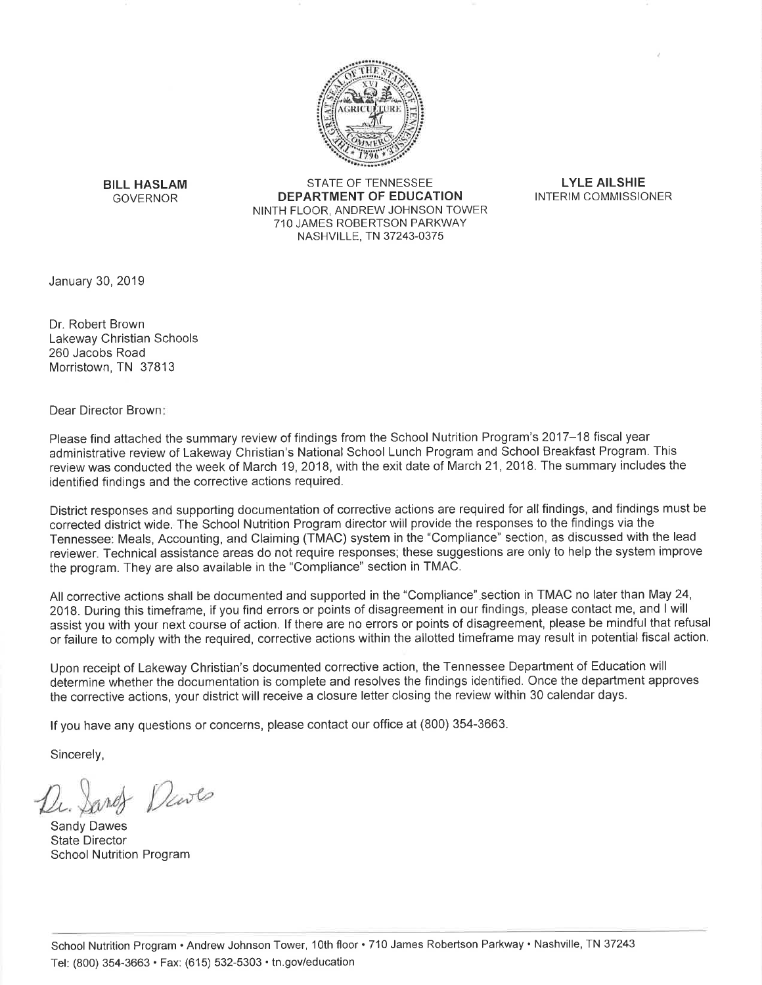

**BILL HASLAM GOVERNOR** 

**STATE OF TENNESSEE DEPARTMENT OF EDUCATION** NINTH FLOOR, ANDREW JOHNSON TOWER 710 JAMES ROBERTSON PARKWAY NASHVILLE, TN 37243-0375

**LYLE AILSHIE** INTERIM COMMISSIONER

January 30, 2019

Dr. Robert Brown Lakeway Christian Schools 260 Jacobs Road Morristown, TN 37813

Dear Director Brown:

Please find attached the summary review of findings from the School Nutrition Program's 2017-18 fiscal year administrative review of Lakeway Christian's National School Lunch Program and School Breakfast Program. This review was conducted the week of March 19, 2018, with the exit date of March 21, 2018. The summary includes the identified findings and the corrective actions required.

District responses and supporting documentation of corrective actions are required for all findings, and findings must be corrected district wide. The School Nutrition Program director will provide the responses to the findings via the Tennessee: Meals, Accounting, and Claiming (TMAC) system in the "Compliance" section, as discussed with the lead reviewer. Technical assistance areas do not require responses; these suggestions are only to help the system improve the program. They are also available in the "Compliance" section in TMAC.

All corrective actions shall be documented and supported in the "Compliance" section in TMAC no later than May 24, 2018. During this timeframe, if you find errors or points of disagreement in our findings, please contact me, and I will assist you with your next course of action. If there are no errors or points of disagreement, please be mindful that refusal or failure to comply with the required, corrective actions within the allotted timeframe may result in potential fiscal action.

Upon receipt of Lakeway Christian's documented corrective action, the Tennessee Department of Education will determine whether the documentation is complete and resolves the findings identified. Once the department approves the corrective actions, your district will receive a closure letter closing the review within 30 calendar days.

If you have any questions or concerns, please contact our office at (800) 354-3663.

Sincerely,

- Deute

Sandy Dawes **State Director School Nutrition Program**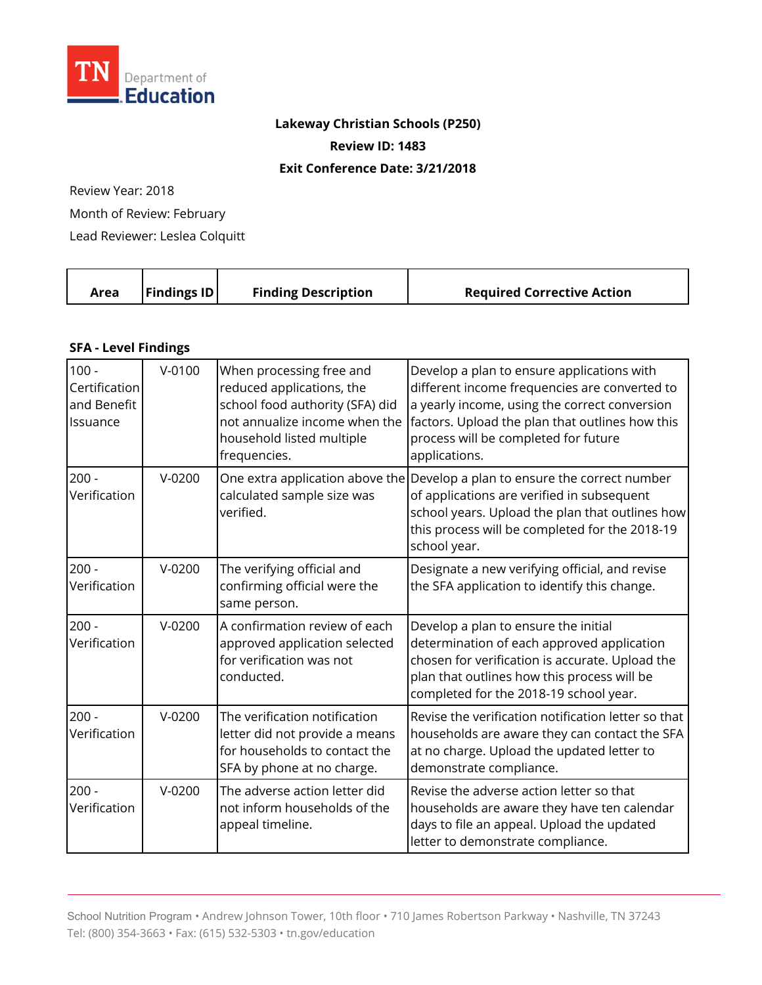

## **Lakeway Christian Schools (P250)**

**Review ID: 1483** 

**Exit Conference Date: 3/21/2018** 

Review Year: 2018

Month of Review: February

Lead Reviewer: Leslea Colquitt

| Area | $\vert$ Findings ID $\vert$ | <b>Finding Description</b> | <b>Required Corrective Action</b> |
|------|-----------------------------|----------------------------|-----------------------------------|
|      |                             |                            |                                   |

## **SFA - Level Findings**

| $100 -$<br>Certification<br>and Benefit<br>Issuance | $V - 0100$ | When processing free and<br>reduced applications, the<br>school food authority (SFA) did<br>not annualize income when the<br>household listed multiple<br>frequencies. | Develop a plan to ensure applications with<br>different income frequencies are converted to<br>a yearly income, using the correct conversion<br>factors. Upload the plan that outlines how this<br>process will be completed for future<br>applications. |
|-----------------------------------------------------|------------|------------------------------------------------------------------------------------------------------------------------------------------------------------------------|----------------------------------------------------------------------------------------------------------------------------------------------------------------------------------------------------------------------------------------------------------|
| $200 -$<br>Verification                             | $V-0200$   | calculated sample size was<br>verified.                                                                                                                                | One extra application above the Develop a plan to ensure the correct number<br>of applications are verified in subsequent<br>school years. Upload the plan that outlines how<br>this process will be completed for the 2018-19<br>school year.           |
| $200 -$<br>Verification                             | $V-0200$   | The verifying official and<br>confirming official were the<br>same person.                                                                                             | Designate a new verifying official, and revise<br>the SFA application to identify this change.                                                                                                                                                           |
| $200 -$<br>Verification                             | $V-0200$   | A confirmation review of each<br>approved application selected<br>for verification was not<br>conducted.                                                               | Develop a plan to ensure the initial<br>determination of each approved application<br>chosen for verification is accurate. Upload the<br>plan that outlines how this process will be<br>completed for the 2018-19 school year.                           |
| $200 -$<br>Verification                             | $V-0200$   | The verification notification<br>letter did not provide a means<br>for households to contact the<br>SFA by phone at no charge.                                         | Revise the verification notification letter so that<br>households are aware they can contact the SFA<br>at no charge. Upload the updated letter to<br>demonstrate compliance.                                                                            |
| $200 -$<br>Verification                             | $V-0200$   | The adverse action letter did<br>not inform households of the<br>appeal timeline.                                                                                      | Revise the adverse action letter so that<br>households are aware they have ten calendar<br>days to file an appeal. Upload the updated<br>letter to demonstrate compliance.                                                                               |